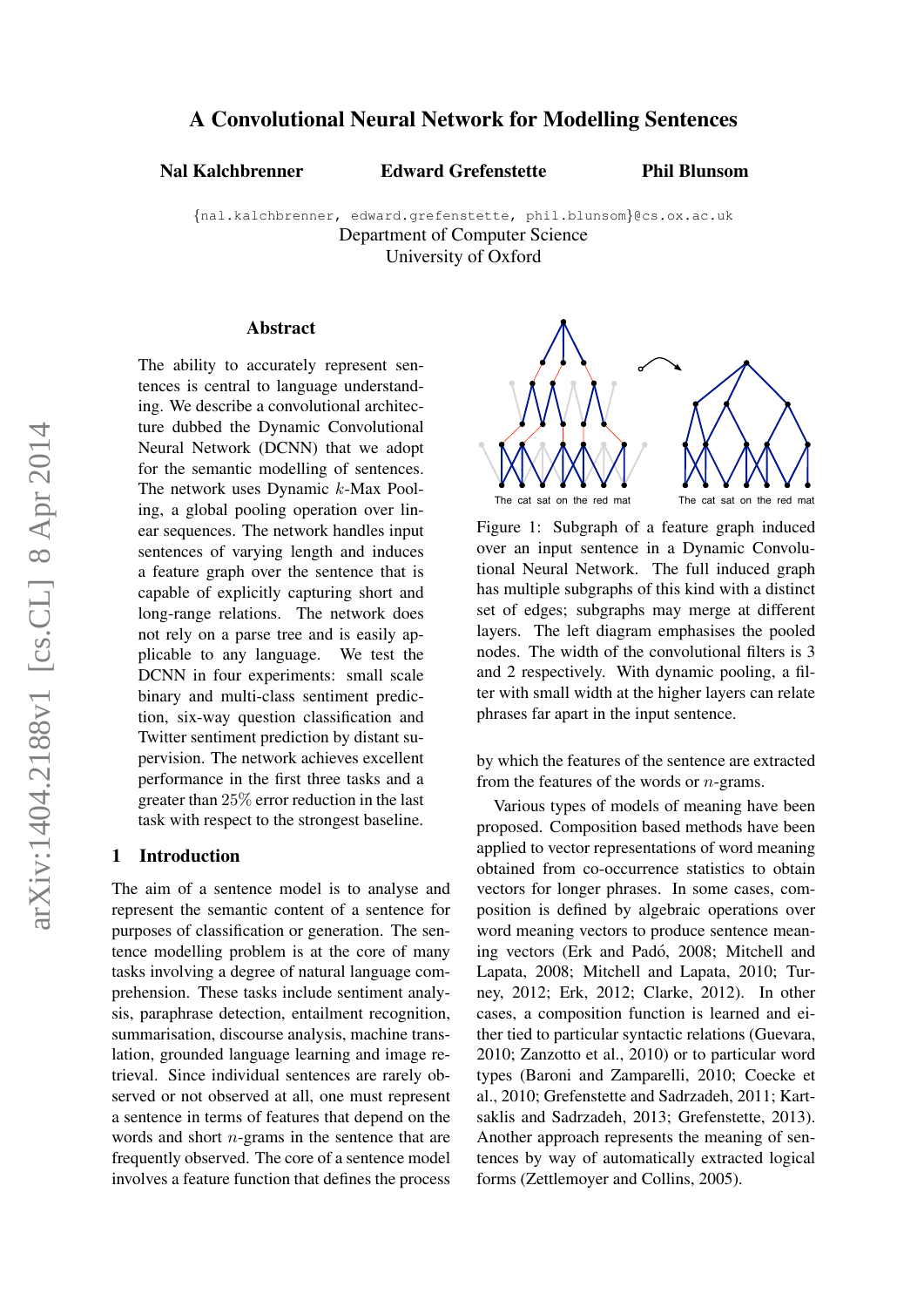# A Convolutional Neural Network for Modelling Sentences

Nal Kalchbrenner Edward Grefenstette

Phil Blunsom

{nal.kalchbrenner, edward.grefenstette, phil.blunsom}@cs.ox.ac.uk Department of Computer Science University of Oxford

#### Abstract

The ability to accurately represent sentences is central to language understanding. We describe a convolutional architecture dubbed the Dynamic Convolutional Neural Network (DCNN) that we adopt for the semantic modelling of sentences. The network uses Dynamic k-Max Pooling, a global pooling operation over linear sequences. The network handles input sentences of varying length and induces a feature graph over the sentence that is capable of explicitly capturing short and long-range relations. The network does not rely on a parse tree and is easily applicable to any language. We test the DCNN in four experiments: small scale binary and multi-class sentiment prediction, six-way question classification and Twitter sentiment prediction by distant supervision. The network achieves excellent performance in the first three tasks and a greater than 25% error reduction in the last task with respect to the strongest baseline.

## 1 Introduction

The aim of a sentence model is to analyse and represent the semantic content of a sentence for purposes of classification or generation. The sentence modelling problem is at the core of many tasks involving a degree of natural language comprehension. These tasks include sentiment analysis, paraphrase detection, entailment recognition, summarisation, discourse analysis, machine translation, grounded language learning and image retrieval. Since individual sentences are rarely observed or not observed at all, one must represent a sentence in terms of features that depend on the words and short n-grams in the sentence that are frequently observed. The core of a sentence model involves a feature function that defines the process



Figure 1: Subgraph of a feature graph induced over an input sentence in a Dynamic Convolutional Neural Network. The full induced graph has multiple subgraphs of this kind with a distinct set of edges; subgraphs may merge at different layers. The left diagram emphasises the pooled nodes. The width of the convolutional filters is 3 and 2 respectively. With dynamic pooling, a filter with small width at the higher layers can relate phrases far apart in the input sentence.

by which the features of the sentence are extracted from the features of the words or n-grams.

Various types of models of meaning have been proposed. Composition based methods have been applied to vector representations of word meaning obtained from co-occurrence statistics to obtain vectors for longer phrases. In some cases, composition is defined by algebraic operations over word meaning vectors to produce sentence meaning vectors (Erk and Padó, 2008; Mitchell and Lapata, 2008; Mitchell and Lapata, 2010; Turney, 2012; Erk, 2012; Clarke, 2012). In other cases, a composition function is learned and either tied to particular syntactic relations (Guevara, 2010; Zanzotto et al., 2010) or to particular word types (Baroni and Zamparelli, 2010; Coecke et al., 2010; Grefenstette and Sadrzadeh, 2011; Kartsaklis and Sadrzadeh, 2013; Grefenstette, 2013). Another approach represents the meaning of sentences by way of automatically extracted logical forms (Zettlemoyer and Collins, 2005).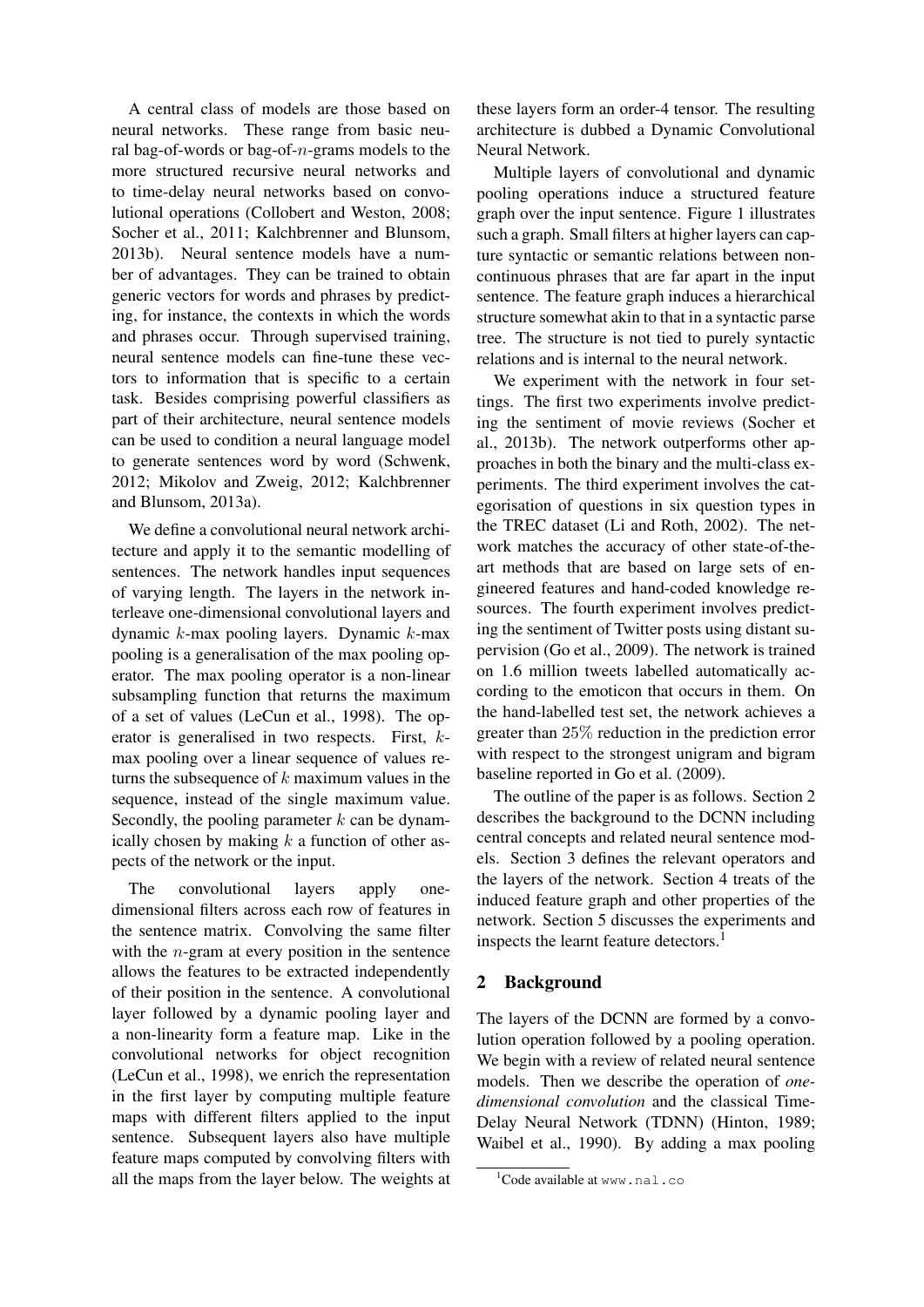A central class of models are those based on neural networks. These range from basic neural bag-of-words or bag-of-n-grams models to the more structured recursive neural networks and to time-delay neural networks based on convolutional operations (Collobert and Weston, 2008; Socher et al., 2011; Kalchbrenner and Blunsom, 2013b). Neural sentence models have a number of advantages. They can be trained to obtain generic vectors for words and phrases by predicting, for instance, the contexts in which the words and phrases occur. Through supervised training, neural sentence models can fine-tune these vectors to information that is specific to a certain task. Besides comprising powerful classifiers as part of their architecture, neural sentence models can be used to condition a neural language model to generate sentences word by word (Schwenk, 2012; Mikolov and Zweig, 2012; Kalchbrenner and Blunsom, 2013a).

We define a convolutional neural network architecture and apply it to the semantic modelling of sentences. The network handles input sequences of varying length. The layers in the network interleave one-dimensional convolutional layers and dynamic k-max pooling layers. Dynamic k-max pooling is a generalisation of the max pooling operator. The max pooling operator is a non-linear subsampling function that returns the maximum of a set of values (LeCun et al., 1998). The operator is generalised in two respects. First, kmax pooling over a linear sequence of values returns the subsequence of  $k$  maximum values in the sequence, instead of the single maximum value. Secondly, the pooling parameter  $k$  can be dynamically chosen by making  $k$  a function of other aspects of the network or the input.

The convolutional layers apply onedimensional filters across each row of features in the sentence matrix. Convolving the same filter with the  $n$ -gram at every position in the sentence allows the features to be extracted independently of their position in the sentence. A convolutional layer followed by a dynamic pooling layer and a non-linearity form a feature map. Like in the convolutional networks for object recognition (LeCun et al., 1998), we enrich the representation in the first layer by computing multiple feature maps with different filters applied to the input sentence. Subsequent layers also have multiple feature maps computed by convolving filters with all the maps from the layer below. The weights at these layers form an order-4 tensor. The resulting architecture is dubbed a Dynamic Convolutional Neural Network.

Multiple layers of convolutional and dynamic pooling operations induce a structured feature graph over the input sentence. Figure 1 illustrates such a graph. Small filters at higher layers can capture syntactic or semantic relations between noncontinuous phrases that are far apart in the input sentence. The feature graph induces a hierarchical structure somewhat akin to that in a syntactic parse tree. The structure is not tied to purely syntactic relations and is internal to the neural network.

We experiment with the network in four settings. The first two experiments involve predicting the sentiment of movie reviews (Socher et al., 2013b). The network outperforms other approaches in both the binary and the multi-class experiments. The third experiment involves the categorisation of questions in six question types in the TREC dataset (Li and Roth, 2002). The network matches the accuracy of other state-of-theart methods that are based on large sets of engineered features and hand-coded knowledge resources. The fourth experiment involves predicting the sentiment of Twitter posts using distant supervision (Go et al., 2009). The network is trained on 1.6 million tweets labelled automatically according to the emoticon that occurs in them. On the hand-labelled test set, the network achieves a greater than 25% reduction in the prediction error with respect to the strongest unigram and bigram baseline reported in Go et al. (2009).

The outline of the paper is as follows. Section 2 describes the background to the DCNN including central concepts and related neural sentence models. Section 3 defines the relevant operators and the layers of the network. Section 4 treats of the induced feature graph and other properties of the network. Section 5 discusses the experiments and inspects the learnt feature detectors.<sup>1</sup>

# 2 Background

The layers of the DCNN are formed by a convolution operation followed by a pooling operation. We begin with a review of related neural sentence models. Then we describe the operation of *onedimensional convolution* and the classical Time-Delay Neural Network (TDNN) (Hinton, 1989; Waibel et al., 1990). By adding a max pooling

 $1$ Code available at www.nal.co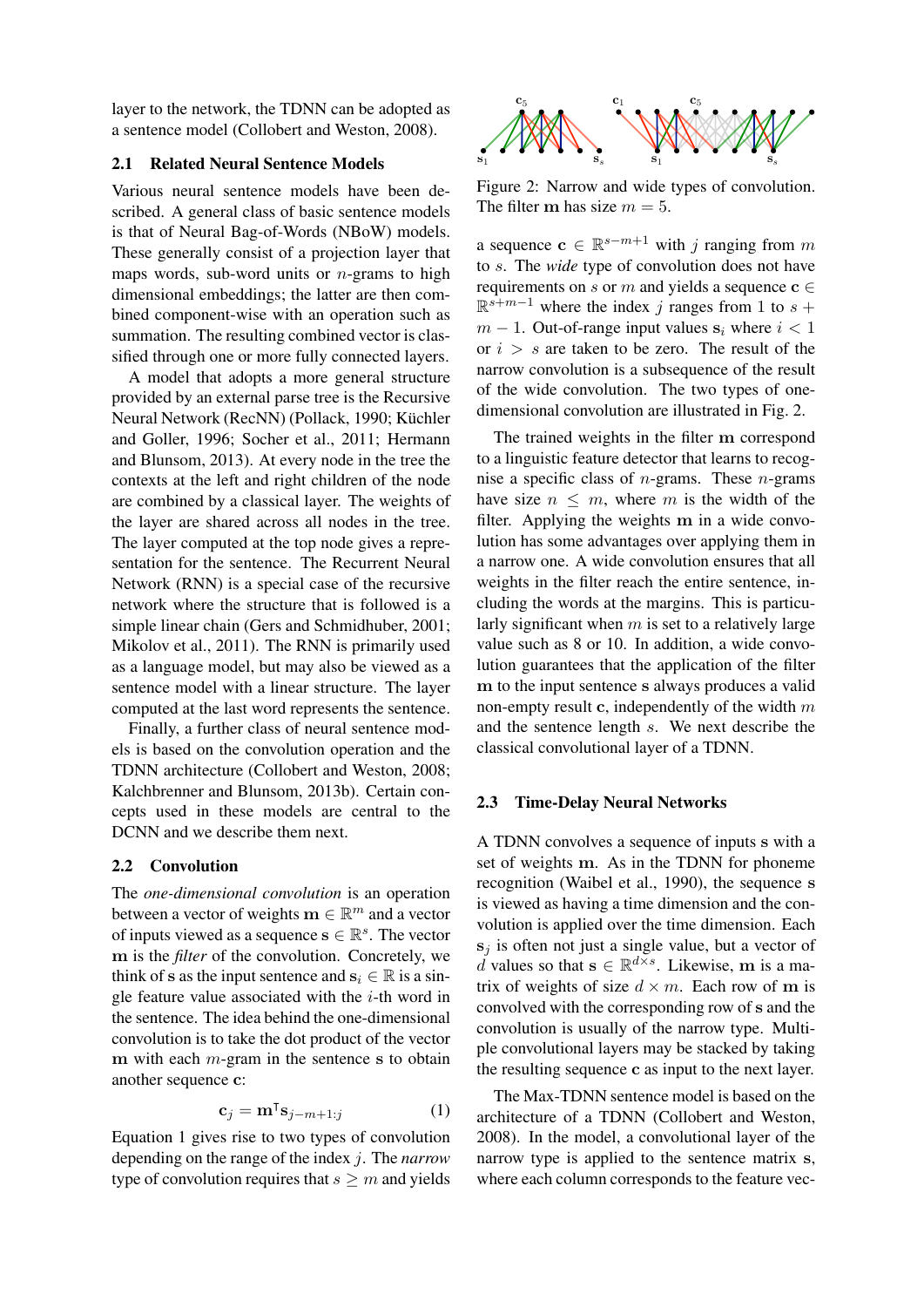layer to the network, the TDNN can be adopted as a sentence model (Collobert and Weston, 2008).

#### 2.1 Related Neural Sentence Models

Various neural sentence models have been described. A general class of basic sentence models is that of Neural Bag-of-Words (NBoW) models. These generally consist of a projection layer that maps words, sub-word units or  $n$ -grams to high dimensional embeddings; the latter are then combined component-wise with an operation such as summation. The resulting combined vector is classified through one or more fully connected layers.

A model that adopts a more general structure provided by an external parse tree is the Recursive Neural Network (RecNN) (Pollack, 1990; Küchler and Goller, 1996; Socher et al., 2011; Hermann and Blunsom, 2013). At every node in the tree the contexts at the left and right children of the node are combined by a classical layer. The weights of the layer are shared across all nodes in the tree. The layer computed at the top node gives a representation for the sentence. The Recurrent Neural Network (RNN) is a special case of the recursive network where the structure that is followed is a simple linear chain (Gers and Schmidhuber, 2001; Mikolov et al., 2011). The RNN is primarily used as a language model, but may also be viewed as a sentence model with a linear structure. The layer computed at the last word represents the sentence.

Finally, a further class of neural sentence models is based on the convolution operation and the TDNN architecture (Collobert and Weston, 2008; Kalchbrenner and Blunsom, 2013b). Certain concepts used in these models are central to the DCNN and we describe them next.

## 2.2 Convolution

The *one-dimensional convolution* is an operation between a vector of weights  $\mathbf{m} \in \mathbb{R}^m$  and a vector of inputs viewed as a sequence  $\mathbf{s} \in \mathbb{R}^s$ . The vector m is the *filter* of the convolution. Concretely, we think of s as the input sentence and  $s_i \in \mathbb{R}$  is a single feature value associated with the  $i$ -th word in the sentence. The idea behind the one-dimensional convolution is to take the dot product of the vector m with each  $m$ -gram in the sentence s to obtain another sequence c:

$$
\mathbf{c}_j = \mathbf{m}^\mathsf{T} \mathbf{s}_{j-m+1:j} \tag{1}
$$

Equation 1 gives rise to two types of convolution depending on the range of the index j. The *narrow* type of convolution requires that  $s \geq m$  and yields



Figure 2: Narrow and wide types of convolution. The filter m has size  $m = 5$ .

a sequence  $\mathbf{c} \in \mathbb{R}^{s-m+1}$  with j ranging from m to s. The *wide* type of convolution does not have requirements on s or m and yields a sequence  $c \in$  $\mathbb{R}^{s+m-1}$  where the index j ranges from 1 to s +  $m - 1$ . Out-of-range input values  $s_i$  where  $i < 1$ or  $i > s$  are taken to be zero. The result of the narrow convolution is a subsequence of the result of the wide convolution. The two types of onedimensional convolution are illustrated in Fig. 2.

The trained weights in the filter m correspond to a linguistic feature detector that learns to recognise a specific class of *n*-grams. These *n*-grams have size  $n \leq m$ , where m is the width of the filter. Applying the weights m in a wide convolution has some advantages over applying them in a narrow one. A wide convolution ensures that all weights in the filter reach the entire sentence, including the words at the margins. This is particularly significant when  $m$  is set to a relatively large value such as 8 or 10. In addition, a wide convolution guarantees that the application of the filter m to the input sentence s always produces a valid non-empty result c, independently of the width  $m$ and the sentence length s. We next describe the classical convolutional layer of a TDNN.

#### 2.3 Time-Delay Neural Networks

A TDNN convolves a sequence of inputs s with a set of weights m. As in the TDNN for phoneme recognition (Waibel et al., 1990), the sequence s is viewed as having a time dimension and the convolution is applied over the time dimension. Each  $s_i$  is often not just a single value, but a vector of d values so that  $\mathbf{s} \in \mathbb{R}^{d \times s}$ . Likewise, m is a matrix of weights of size  $d \times m$ . Each row of m is convolved with the corresponding row of s and the convolution is usually of the narrow type. Multiple convolutional layers may be stacked by taking the resulting sequence c as input to the next layer.

The Max-TDNN sentence model is based on the architecture of a TDNN (Collobert and Weston, 2008). In the model, a convolutional layer of the narrow type is applied to the sentence matrix s, where each column corresponds to the feature vec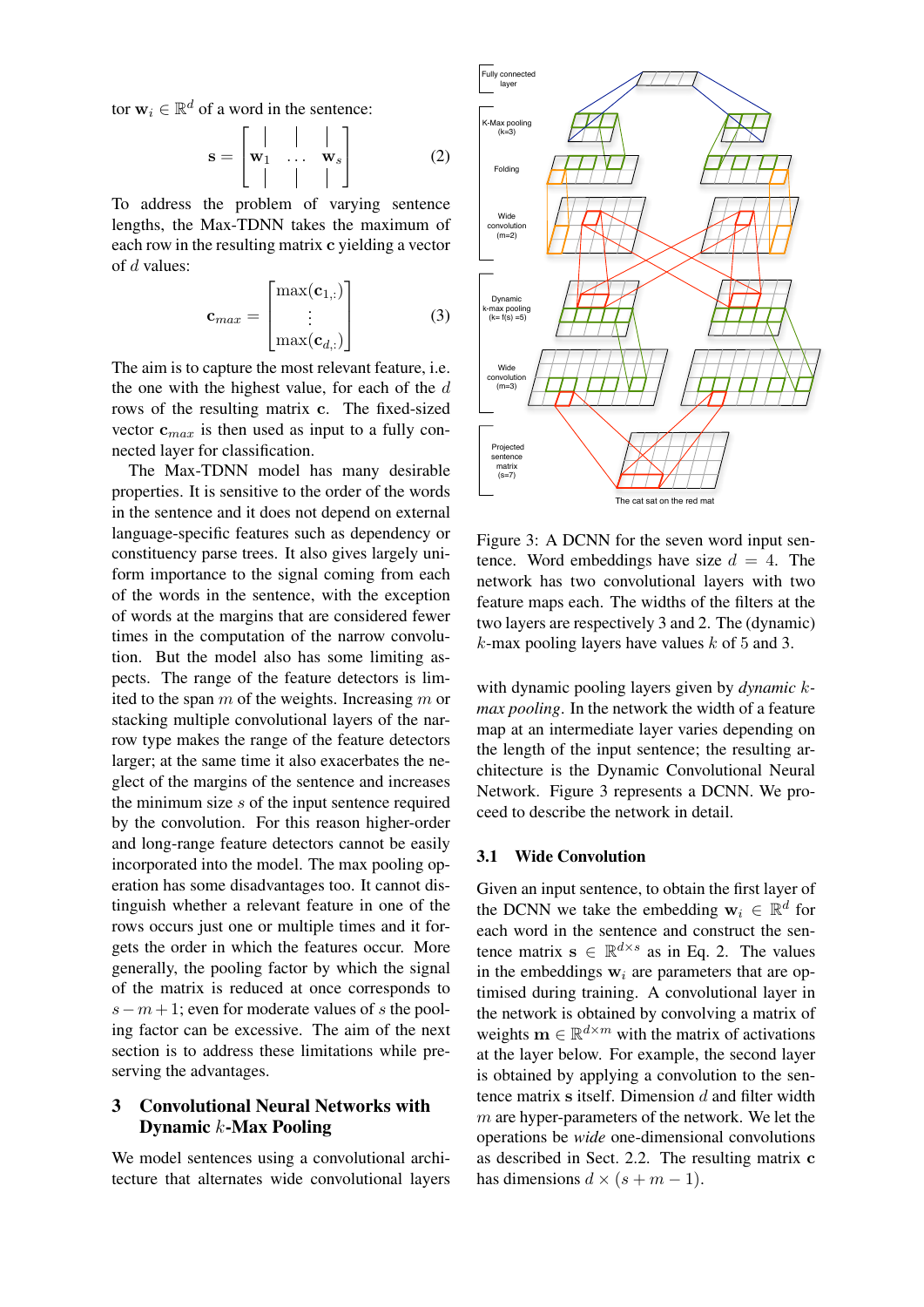tor  $\mathbf{w}_i \in \mathbb{R}^d$  of a word in the sentence:

 $\mathbf{r} = \mathbf{r}$ 

$$
\mathbf{s} = \begin{bmatrix} | & | & | \\ \mathbf{w}_1 & \dots & \mathbf{w}_s \\ | & | & | & | \end{bmatrix}
$$
 (2)

To address the problem of varying sentence lengths, the Max-TDNN takes the maximum of each row in the resulting matrix c yielding a vector of d values:

$$
\mathbf{c}_{max} = \begin{bmatrix} \max(\mathbf{c}_{1,:}) \\ \vdots \\ \max(\mathbf{c}_{d,:}) \end{bmatrix}
$$
 (3)

The aim is to capture the most relevant feature, i.e. the one with the highest value, for each of the  $d$ rows of the resulting matrix c. The fixed-sized vector  $\mathbf{c}_{max}$  is then used as input to a fully connected layer for classification.

The Max-TDNN model has many desirable properties. It is sensitive to the order of the words in the sentence and it does not depend on external language-specific features such as dependency or constituency parse trees. It also gives largely uniform importance to the signal coming from each of the words in the sentence, with the exception of words at the margins that are considered fewer times in the computation of the narrow convolution. But the model also has some limiting aspects. The range of the feature detectors is limited to the span  $m$  of the weights. Increasing  $m$  or stacking multiple convolutional layers of the narrow type makes the range of the feature detectors larger; at the same time it also exacerbates the neglect of the margins of the sentence and increases the minimum size s of the input sentence required by the convolution. For this reason higher-order and long-range feature detectors cannot be easily incorporated into the model. The max pooling operation has some disadvantages too. It cannot distinguish whether a relevant feature in one of the rows occurs just one or multiple times and it forgets the order in which the features occur. More generally, the pooling factor by which the signal of the matrix is reduced at once corresponds to  $s - m + 1$ ; even for moderate values of s the pooling factor can be excessive. The aim of the next section is to address these limitations while preserving the advantages.

# 3 Convolutional Neural Networks with Dynamic k-Max Pooling

We model sentences using a convolutional architecture that alternates wide convolutional layers



Figure 3: A DCNN for the seven word input sentence. Word embeddings have size  $d = 4$ . The network has two convolutional layers with two feature maps each. The widths of the filters at the two layers are respectively 3 and 2. The (dynamic)  $k$ -max pooling layers have values  $k$  of 5 and 3.

with dynamic pooling layers given by *dynamic* k*max pooling*. In the network the width of a feature map at an intermediate layer varies depending on the length of the input sentence; the resulting architecture is the Dynamic Convolutional Neural Network. Figure 3 represents a DCNN. We proceed to describe the network in detail.

#### 3.1 Wide Convolution

Given an input sentence, to obtain the first layer of the DCNN we take the embedding  $w_i \in \mathbb{R}^d$  for each word in the sentence and construct the sentence matrix  $s \in \mathbb{R}^{d \times s}$  as in Eq. 2. The values in the embeddings  $w_i$  are parameters that are optimised during training. A convolutional layer in the network is obtained by convolving a matrix of weights  $\mathbf{m} \in \mathbb{R}^{d \times m}$  with the matrix of activations at the layer below. For example, the second layer is obtained by applying a convolution to the sentence matrix  $s$  itself. Dimension  $d$  and filter width  $m$  are hyper-parameters of the network. We let the operations be *wide* one-dimensional convolutions as described in Sect. 2.2. The resulting matrix c has dimensions  $d \times (s + m - 1)$ .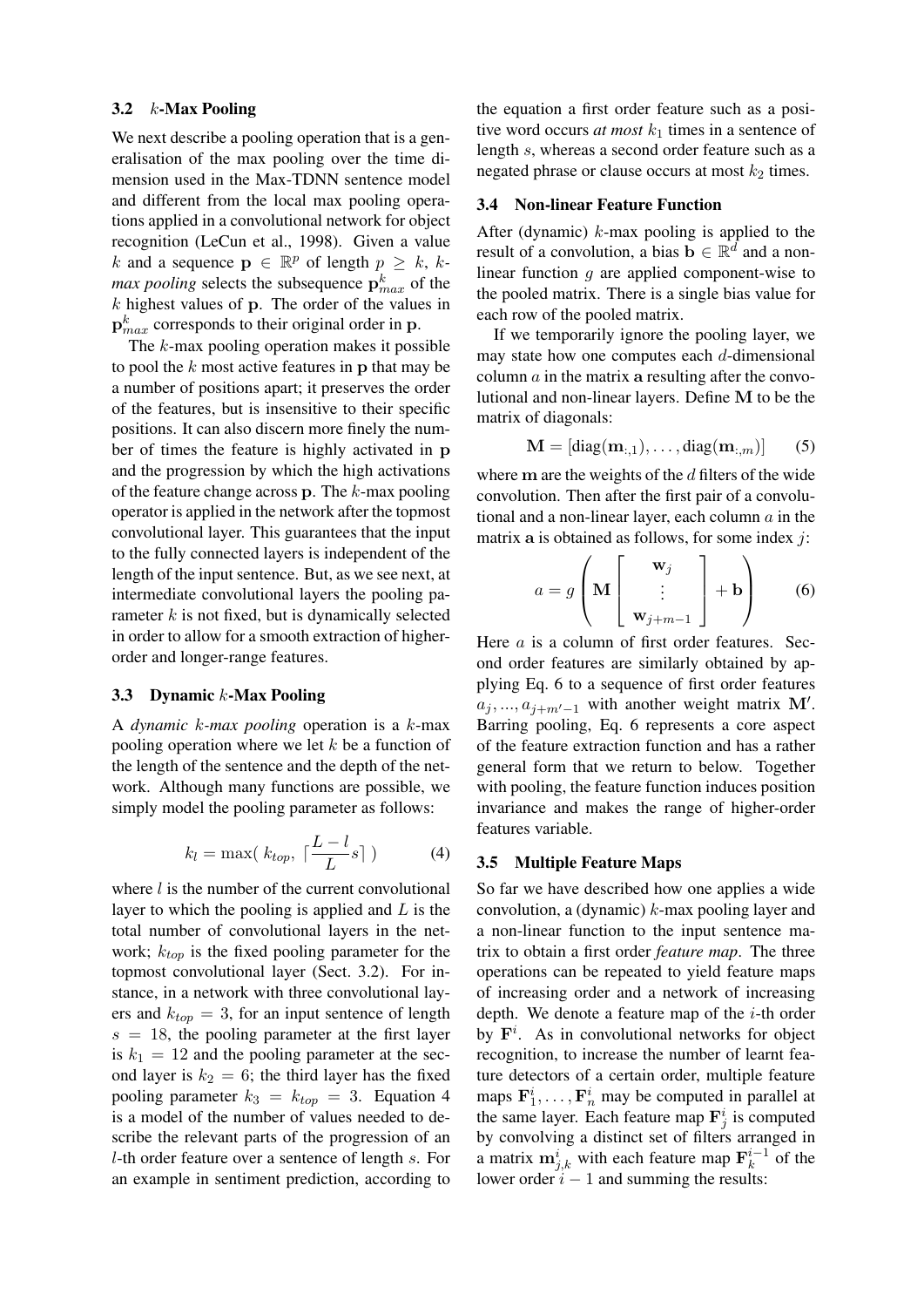## 3.2 k-Max Pooling

We next describe a pooling operation that is a generalisation of the max pooling over the time dimension used in the Max-TDNN sentence model and different from the local max pooling operations applied in a convolutional network for object recognition (LeCun et al., 1998). Given a value k and a sequence  $p \in \mathbb{R}^p$  of length  $p \geq k$ , k*max pooling* selects the subsequence  $\mathbf{p}_{max}^k$  of the  $k$  highest values of  $p$ . The order of the values in  ${\bf p}^k_{max}$  corresponds to their original order in  ${\bf p}$ .

The k-max pooling operation makes it possible to pool the  $k$  most active features in  $p$  that may be a number of positions apart; it preserves the order of the features, but is insensitive to their specific positions. It can also discern more finely the number of times the feature is highly activated in p and the progression by which the high activations of the feature change across  $p$ . The k-max pooling operator is applied in the network after the topmost convolutional layer. This guarantees that the input to the fully connected layers is independent of the length of the input sentence. But, as we see next, at intermediate convolutional layers the pooling parameter  $k$  is not fixed, but is dynamically selected in order to allow for a smooth extraction of higherorder and longer-range features.

#### 3.3 Dynamic k-Max Pooling

A *dynamic* k*-max pooling* operation is a k-max pooling operation where we let  $k$  be a function of the length of the sentence and the depth of the network. Although many functions are possible, we simply model the pooling parameter as follows:

$$
k_l = \max(\ k_{top}, \ \lceil \frac{L - l}{L} s \rceil \ ) \tag{4}
$$

where  $l$  is the number of the current convolutional layer to which the pooling is applied and  $L$  is the total number of convolutional layers in the network;  $k_{top}$  is the fixed pooling parameter for the topmost convolutional layer (Sect. 3.2). For instance, in a network with three convolutional layers and  $k_{top} = 3$ , for an input sentence of length  $s = 18$ , the pooling parameter at the first layer is  $k_1 = 12$  and the pooling parameter at the second layer is  $k_2 = 6$ ; the third layer has the fixed pooling parameter  $k_3 = k_{top} = 3$ . Equation 4 is a model of the number of values needed to describe the relevant parts of the progression of an l-th order feature over a sentence of length s. For an example in sentiment prediction, according to the equation a first order feature such as a positive word occurs *at most*  $k_1$  times in a sentence of length s, whereas a second order feature such as a negated phrase or clause occurs at most  $k_2$  times.

#### 3.4 Non-linear Feature Function

After (dynamic)  $k$ -max pooling is applied to the result of a convolution, a bias  $\mathbf{b} \in \mathbb{R}^d$  and a nonlinear function  $q$  are applied component-wise to the pooled matrix. There is a single bias value for each row of the pooled matrix.

If we temporarily ignore the pooling layer, we may state how one computes each  $d$ -dimensional column  $\alpha$  in the matrix a resulting after the convolutional and non-linear layers. Define M to be the matrix of diagonals:

$$
\mathbf{M} = [\text{diag}(\mathbf{m}_{:,1}), \dots, \text{diag}(\mathbf{m}_{:,m})] \qquad (5)
$$

where  $m$  are the weights of the  $d$  filters of the wide convolution. Then after the first pair of a convolutional and a non-linear layer, each column  $a$  in the matrix  $a$  is obtained as follows, for some index  $i$ :

$$
a = g\left(\mathbf{M} \begin{bmatrix} \mathbf{w}_j \\ \vdots \\ \mathbf{w}_{j+m-1} \end{bmatrix} + \mathbf{b} \right) \qquad (6)
$$

Here a is a column of first order features. Second order features are similarly obtained by applying Eq. 6 to a sequence of first order features  $a_j, ..., a_{j+m'-1}$  with another weight matrix M'. Barring pooling, Eq. 6 represents a core aspect of the feature extraction function and has a rather general form that we return to below. Together with pooling, the feature function induces position invariance and makes the range of higher-order features variable.

#### 3.5 Multiple Feature Maps

So far we have described how one applies a wide convolution, a (dynamic)  $k$ -max pooling layer and a non-linear function to the input sentence matrix to obtain a first order *feature map*. The three operations can be repeated to yield feature maps of increasing order and a network of increasing depth. We denote a feature map of the  $i$ -th order by  $F^i$ . As in convolutional networks for object recognition, to increase the number of learnt feature detectors of a certain order, multiple feature maps  $\mathbf{F}_1^i, \ldots, \mathbf{F}_n^i$  may be computed in parallel at the same layer. Each feature map  $\mathbf{F}_j^i$  is computed by convolving a distinct set of filters arranged in a matrix  $\mathbf{m}_{j,k}^i$  with each feature map  $\mathbf{F}_k^{i-1}$  $\frac{i-1}{k}$  of the lower order  $i - 1$  and summing the results: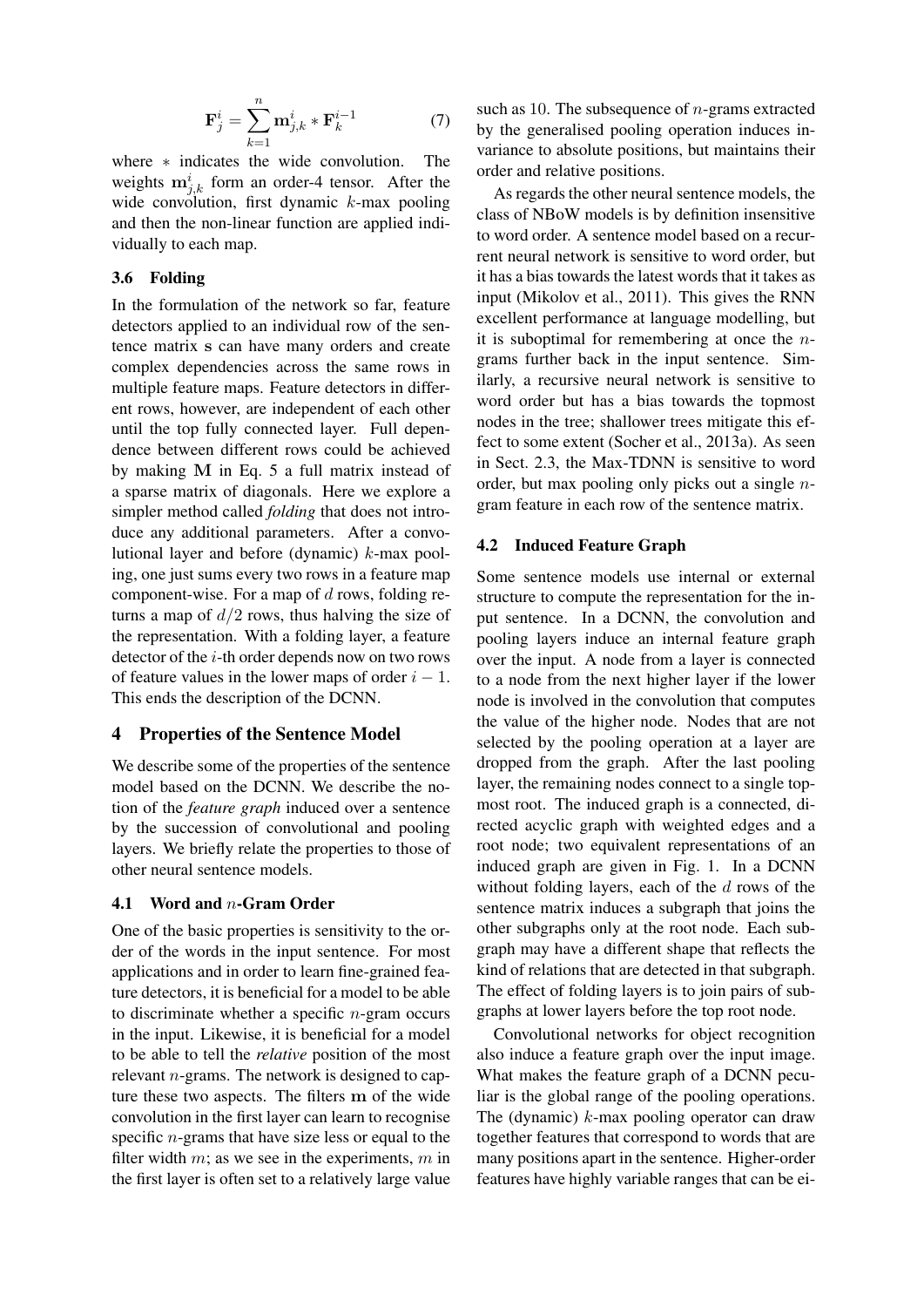$$
\mathbf{F}_j^i = \sum_{k=1}^n \mathbf{m}_{j,k}^i * \mathbf{F}_k^{i-1}
$$
 (7)

where \* indicates the wide convolution. The weights  $\mathbf{m}_{j,k}^{i}$  form an order-4 tensor. After the wide convolution, first dynamic k-max pooling and then the non-linear function are applied individually to each map.

## 3.6 Folding

In the formulation of the network so far, feature detectors applied to an individual row of the sentence matrix s can have many orders and create complex dependencies across the same rows in multiple feature maps. Feature detectors in different rows, however, are independent of each other until the top fully connected layer. Full dependence between different rows could be achieved by making M in Eq. 5 a full matrix instead of a sparse matrix of diagonals. Here we explore a simpler method called *folding* that does not introduce any additional parameters. After a convolutional layer and before (dynamic) k-max pooling, one just sums every two rows in a feature map component-wise. For a map of  $d$  rows, folding returns a map of  $d/2$  rows, thus halving the size of the representation. With a folding layer, a feature detector of the i-th order depends now on two rows of feature values in the lower maps of order  $i - 1$ . This ends the description of the DCNN.

## 4 Properties of the Sentence Model

We describe some of the properties of the sentence model based on the DCNN. We describe the notion of the *feature graph* induced over a sentence by the succession of convolutional and pooling layers. We briefly relate the properties to those of other neural sentence models.

#### 4.1 Word and n-Gram Order

One of the basic properties is sensitivity to the order of the words in the input sentence. For most applications and in order to learn fine-grained feature detectors, it is beneficial for a model to be able to discriminate whether a specific  $n$ -gram occurs in the input. Likewise, it is beneficial for a model to be able to tell the *relative* position of the most relevant n-grams. The network is designed to capture these two aspects. The filters m of the wide convolution in the first layer can learn to recognise specific n-grams that have size less or equal to the filter width  $m$ ; as we see in the experiments,  $m$  in the first layer is often set to a relatively large value such as 10. The subsequence of  $n$ -grams extracted by the generalised pooling operation induces invariance to absolute positions, but maintains their order and relative positions.

As regards the other neural sentence models, the class of NBoW models is by definition insensitive to word order. A sentence model based on a recurrent neural network is sensitive to word order, but it has a bias towards the latest words that it takes as input (Mikolov et al., 2011). This gives the RNN excellent performance at language modelling, but it is suboptimal for remembering at once the  $n$ grams further back in the input sentence. Similarly, a recursive neural network is sensitive to word order but has a bias towards the topmost nodes in the tree; shallower trees mitigate this effect to some extent (Socher et al., 2013a). As seen in Sect. 2.3, the Max-TDNN is sensitive to word order, but max pooling only picks out a single  $n$ gram feature in each row of the sentence matrix.

#### 4.2 Induced Feature Graph

Some sentence models use internal or external structure to compute the representation for the input sentence. In a DCNN, the convolution and pooling layers induce an internal feature graph over the input. A node from a layer is connected to a node from the next higher layer if the lower node is involved in the convolution that computes the value of the higher node. Nodes that are not selected by the pooling operation at a layer are dropped from the graph. After the last pooling layer, the remaining nodes connect to a single topmost root. The induced graph is a connected, directed acyclic graph with weighted edges and a root node; two equivalent representations of an induced graph are given in Fig. 1. In a DCNN without folding layers, each of the  $d$  rows of the sentence matrix induces a subgraph that joins the other subgraphs only at the root node. Each subgraph may have a different shape that reflects the kind of relations that are detected in that subgraph. The effect of folding layers is to join pairs of subgraphs at lower layers before the top root node.

Convolutional networks for object recognition also induce a feature graph over the input image. What makes the feature graph of a DCNN peculiar is the global range of the pooling operations. The (dynamic)  $k$ -max pooling operator can draw together features that correspond to words that are many positions apart in the sentence. Higher-order features have highly variable ranges that can be ei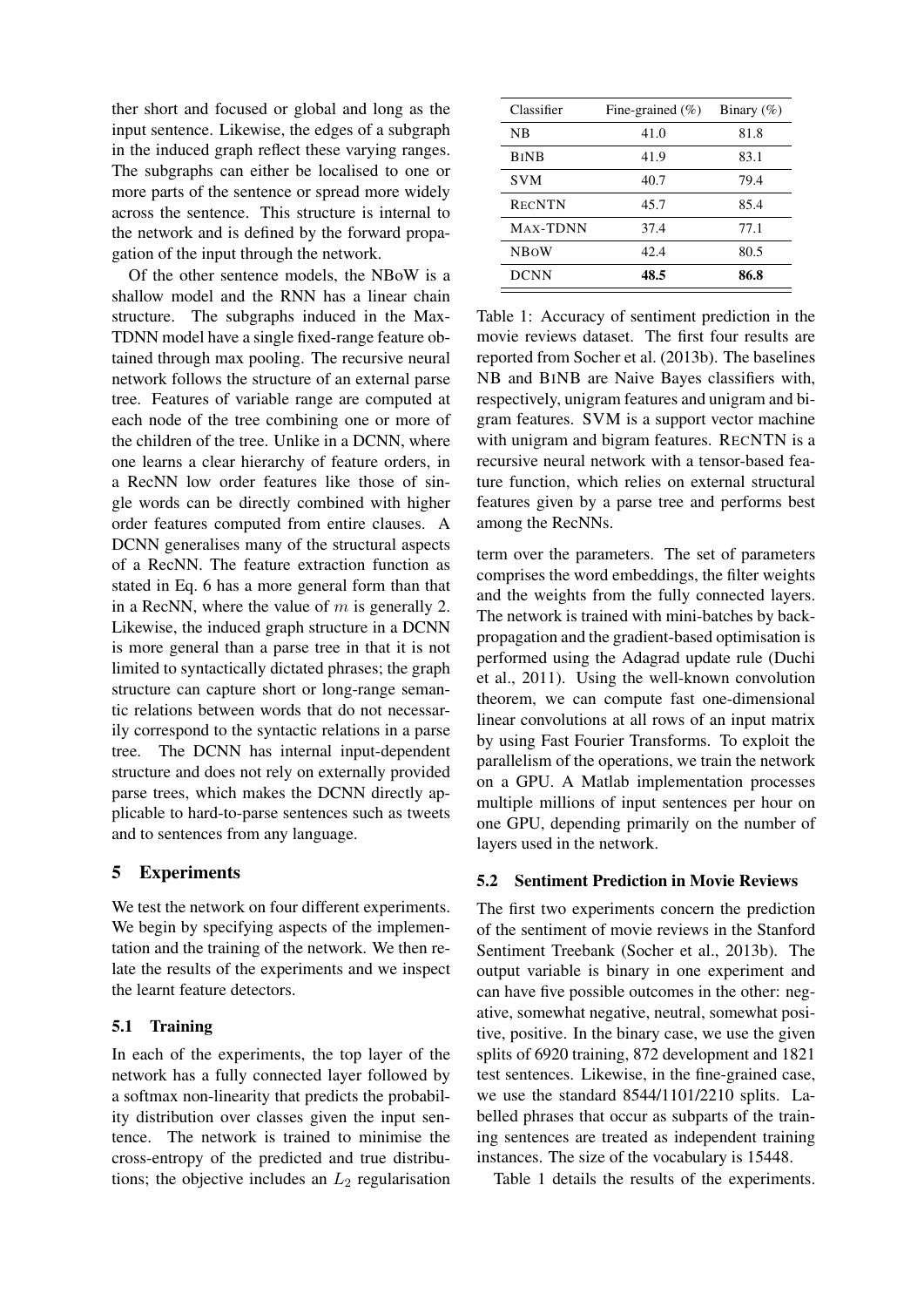ther short and focused or global and long as the input sentence. Likewise, the edges of a subgraph in the induced graph reflect these varying ranges. The subgraphs can either be localised to one or more parts of the sentence or spread more widely across the sentence. This structure is internal to the network and is defined by the forward propagation of the input through the network.

Of the other sentence models, the NBoW is a shallow model and the RNN has a linear chain structure. The subgraphs induced in the Max-TDNN model have a single fixed-range feature obtained through max pooling. The recursive neural network follows the structure of an external parse tree. Features of variable range are computed at each node of the tree combining one or more of the children of the tree. Unlike in a DCNN, where one learns a clear hierarchy of feature orders, in a RecNN low order features like those of single words can be directly combined with higher order features computed from entire clauses. A DCNN generalises many of the structural aspects of a RecNN. The feature extraction function as stated in Eq. 6 has a more general form than that in a RecNN, where the value of  $m$  is generally 2. Likewise, the induced graph structure in a DCNN is more general than a parse tree in that it is not limited to syntactically dictated phrases; the graph structure can capture short or long-range semantic relations between words that do not necessarily correspond to the syntactic relations in a parse tree. The DCNN has internal input-dependent structure and does not rely on externally provided parse trees, which makes the DCNN directly applicable to hard-to-parse sentences such as tweets and to sentences from any language.

# 5 Experiments

We test the network on four different experiments. We begin by specifying aspects of the implementation and the training of the network. We then relate the results of the experiments and we inspect the learnt feature detectors.

## 5.1 Training

In each of the experiments, the top layer of the network has a fully connected layer followed by a softmax non-linearity that predicts the probability distribution over classes given the input sentence. The network is trained to minimise the cross-entropy of the predicted and true distributions; the objective includes an  $L_2$  regularisation

| Classifier    | Fine-grained $(\% )$ | Binary $(\%)$ |
|---------------|----------------------|---------------|
| NΒ            | 41.0                 | 81.8          |
| <b>BINB</b>   | 41.9                 | 83.1          |
| <b>SVM</b>    | 40.7                 | 79.4          |
| <b>RECNTN</b> | 45.7                 | 85.4          |
| MAX-TDNN      | 37.4                 | 77.1          |
| <b>NBOW</b>   | 42.4                 | 80.5          |
| DCNN          | 48.5                 | 86.8          |

Table 1: Accuracy of sentiment prediction in the movie reviews dataset. The first four results are reported from Socher et al. (2013b). The baselines NB and BINB are Naive Bayes classifiers with, respectively, unigram features and unigram and bigram features. SVM is a support vector machine with unigram and bigram features. RECNTN is a recursive neural network with a tensor-based feature function, which relies on external structural features given by a parse tree and performs best among the RecNNs.

term over the parameters. The set of parameters comprises the word embeddings, the filter weights and the weights from the fully connected layers. The network is trained with mini-batches by backpropagation and the gradient-based optimisation is performed using the Adagrad update rule (Duchi et al., 2011). Using the well-known convolution theorem, we can compute fast one-dimensional linear convolutions at all rows of an input matrix by using Fast Fourier Transforms. To exploit the parallelism of the operations, we train the network on a GPU. A Matlab implementation processes multiple millions of input sentences per hour on one GPU, depending primarily on the number of layers used in the network.

## 5.2 Sentiment Prediction in Movie Reviews

The first two experiments concern the prediction of the sentiment of movie reviews in the Stanford Sentiment Treebank (Socher et al., 2013b). The output variable is binary in one experiment and can have five possible outcomes in the other: negative, somewhat negative, neutral, somewhat positive, positive. In the binary case, we use the given splits of 6920 training, 872 development and 1821 test sentences. Likewise, in the fine-grained case, we use the standard 8544/1101/2210 splits. Labelled phrases that occur as subparts of the training sentences are treated as independent training instances. The size of the vocabulary is 15448.

Table 1 details the results of the experiments.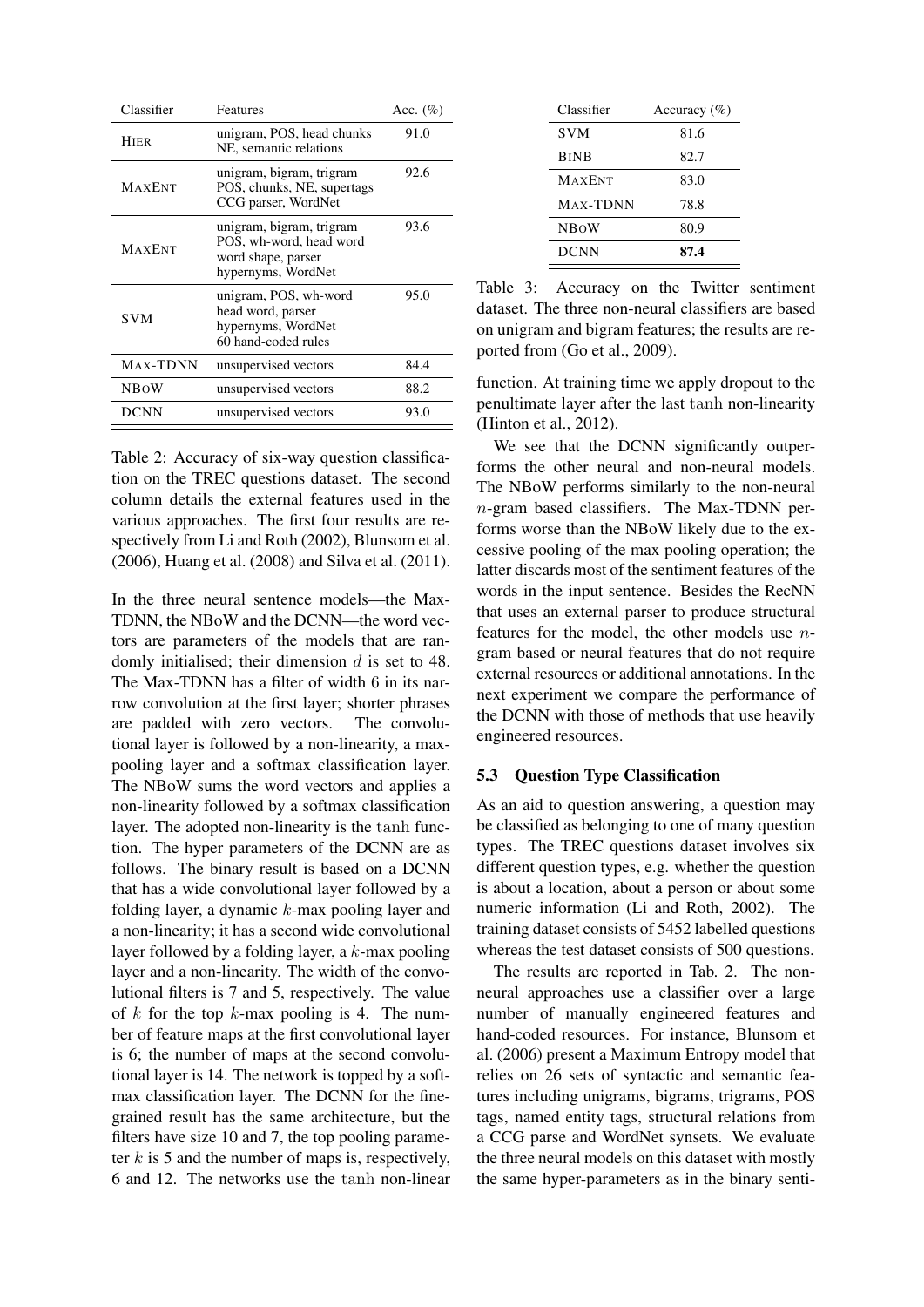| Classifier    | Features                                                                                        | Acc. $(\%)$ |
|---------------|-------------------------------------------------------------------------------------------------|-------------|
| <b>HIER</b>   | unigram, POS, head chunks<br>NE, semantic relations                                             | 91.0        |
| <b>MAXENT</b> | unigram, bigram, trigram<br>POS, chunks, NE, supertags<br>CCG parser, WordNet                   | 92.6        |
| <b>MAXENT</b> | unigram, bigram, trigram<br>POS, wh-word, head word<br>word shape, parser<br>hypernyms, WordNet | 93.6        |
| SVM.          | unigram, POS, wh-word<br>head word, parser<br>hypernyms, WordNet<br>60 hand-coded rules         | 95.0        |
| MAX-TDNN      | unsupervised vectors                                                                            | 84.4        |
| <b>NBOW</b>   | unsupervised vectors                                                                            | 88.2        |
| DCNN          | unsupervised vectors                                                                            | 93.0        |

Table 2: Accuracy of six-way question classification on the TREC questions dataset. The second column details the external features used in the various approaches. The first four results are respectively from Li and Roth (2002), Blunsom et al. (2006), Huang et al. (2008) and Silva et al. (2011).

In the three neural sentence models—the Max-TDNN, the NBoW and the DCNN—the word vectors are parameters of the models that are randomly initialised; their dimension  $d$  is set to 48. The Max-TDNN has a filter of width 6 in its narrow convolution at the first layer; shorter phrases are padded with zero vectors. The convolutional layer is followed by a non-linearity, a maxpooling layer and a softmax classification layer. The NBoW sums the word vectors and applies a non-linearity followed by a softmax classification layer. The adopted non-linearity is the tanh function. The hyper parameters of the DCNN are as follows. The binary result is based on a DCNN that has a wide convolutional layer followed by a folding layer, a dynamic  $k$ -max pooling layer and a non-linearity; it has a second wide convolutional layer followed by a folding layer, a k-max pooling layer and a non-linearity. The width of the convolutional filters is 7 and 5, respectively. The value of  $k$  for the top  $k$ -max pooling is 4. The number of feature maps at the first convolutional layer is 6; the number of maps at the second convolutional layer is 14. The network is topped by a softmax classification layer. The DCNN for the finegrained result has the same architecture, but the filters have size 10 and 7, the top pooling parameter  $k$  is 5 and the number of maps is, respectively, 6 and 12. The networks use the tanh non-linear

| Classifier    | Accuracy $(\% )$ |
|---------------|------------------|
| <b>SVM</b>    | 81.6             |
| <b>BINB</b>   | 82.7             |
| <b>MAXENT</b> | 83.0             |
| MAX-TDNN      | 78.8             |
| <b>NBOW</b>   | 80.9             |
| <b>DCNN</b>   | 87.4             |

Table 3: Accuracy on the Twitter sentiment dataset. The three non-neural classifiers are based on unigram and bigram features; the results are reported from (Go et al., 2009).

function. At training time we apply dropout to the penultimate layer after the last tanh non-linearity (Hinton et al., 2012).

We see that the DCNN significantly outperforms the other neural and non-neural models. The NBoW performs similarly to the non-neural n-gram based classifiers. The Max-TDNN performs worse than the NBoW likely due to the excessive pooling of the max pooling operation; the latter discards most of the sentiment features of the words in the input sentence. Besides the RecNN that uses an external parser to produce structural features for the model, the other models use ngram based or neural features that do not require external resources or additional annotations. In the next experiment we compare the performance of the DCNN with those of methods that use heavily engineered resources.

## 5.3 Question Type Classification

As an aid to question answering, a question may be classified as belonging to one of many question types. The TREC questions dataset involves six different question types, e.g. whether the question is about a location, about a person or about some numeric information (Li and Roth, 2002). The training dataset consists of 5452 labelled questions whereas the test dataset consists of 500 questions.

The results are reported in Tab. 2. The nonneural approaches use a classifier over a large number of manually engineered features and hand-coded resources. For instance, Blunsom et al. (2006) present a Maximum Entropy model that relies on 26 sets of syntactic and semantic features including unigrams, bigrams, trigrams, POS tags, named entity tags, structural relations from a CCG parse and WordNet synsets. We evaluate the three neural models on this dataset with mostly the same hyper-parameters as in the binary senti-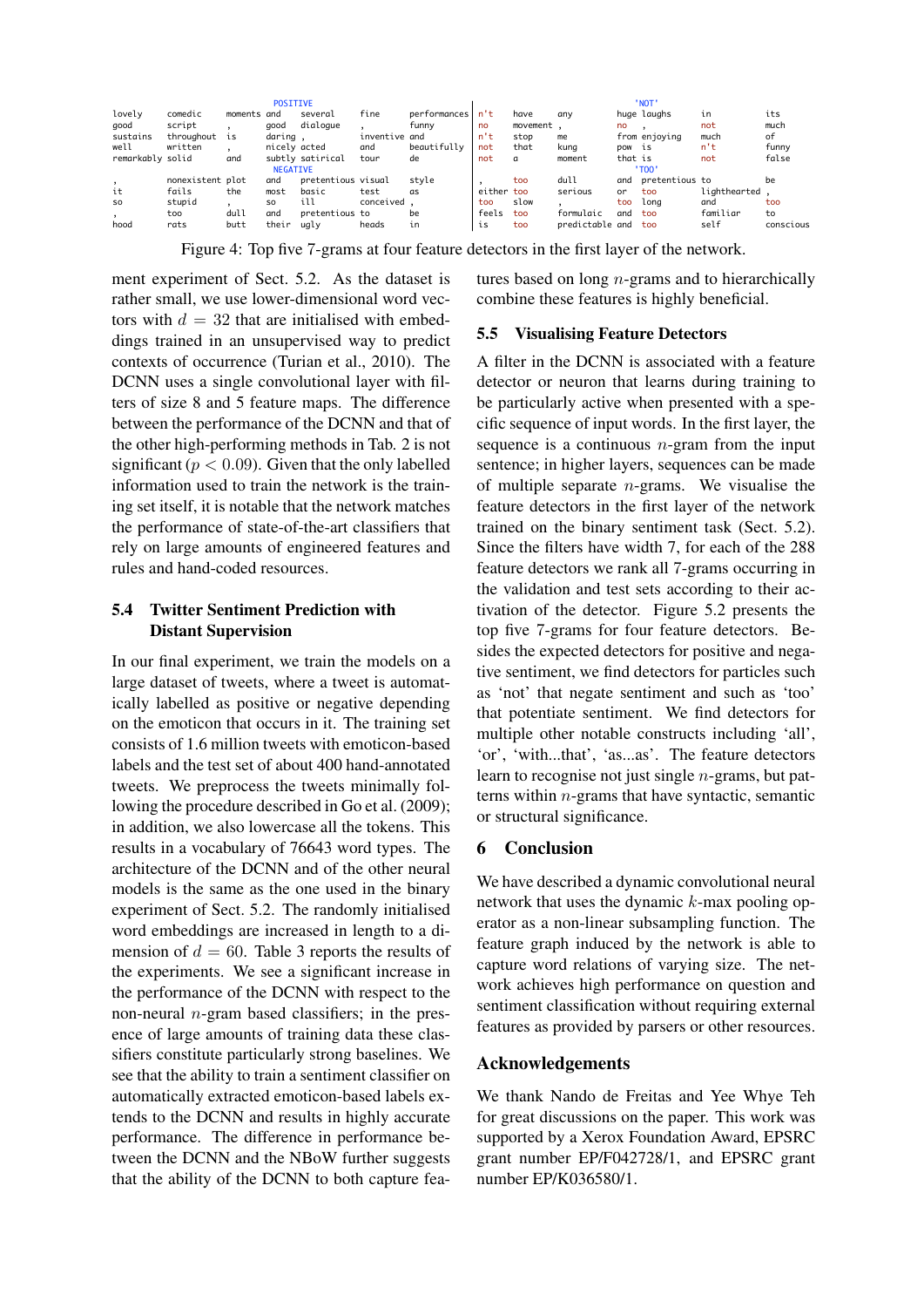|                  |                  |             | <b>POSITIVE</b> |                    |               |              |            |          |                 |         | ' NOT'         |              |           |
|------------------|------------------|-------------|-----------------|--------------------|---------------|--------------|------------|----------|-----------------|---------|----------------|--------------|-----------|
| lovely           | comedic          | moments and |                 | several            | fine          | performances | n't        | have     | any             |         | huge laughs    | ιn           | its       |
| good             | script           |             | aood            | dialoque           |               | funny        | no         | movement |                 | no      |                | not          | much      |
| sustains         | throughout is    |             | daring ,        |                    | inventive and |              | n't        | stop     | me              |         | from enjoying  | much         | of        |
| well             | written          |             | nicely acted    |                    | and           | beautifully  | not        | that     | kuna            | pow is  |                | n't          | funny     |
| remarkably solid |                  | and         |                 | subtly satirical   | tour          | de           | not        | $\sigma$ | moment          | that is |                | not          | false     |
|                  |                  |             | <b>NEGATIVE</b> |                    |               |              |            |          |                 |         | ' TOO          |              |           |
|                  | nonexistent plot |             | and             | pretentious visual |               | style        |            | too      | dull            | and     | pretentious to |              | be        |
| it               | fails            | the         | most            | basic              | test          | as           | either too |          | serious         | or      | too            | liahthearted |           |
| <b>SO</b>        | stupid           |             | SO.             | ill                | conceived.    |              | too        | slow     |                 | too     | lona           | and          | too       |
|                  | too              | dull        | and             | pretentious to     |               | be           | feels      | too      | formulaic       | and     | too            | familiar     | to        |
| hood             | rats             | butt        | their           | ugly               | heads         | in           | is         | too      | predictable and |         | too            | self         | conscious |
|                  |                  |             |                 |                    |               |              |            |          |                 |         |                |              |           |

Figure 4: Top five 7-grams at four feature detectors in the first layer of the network.

ment experiment of Sect. 5.2. As the dataset is rather small, we use lower-dimensional word vectors with  $d = 32$  that are initialised with embeddings trained in an unsupervised way to predict contexts of occurrence (Turian et al., 2010). The DCNN uses a single convolutional layer with filters of size 8 and 5 feature maps. The difference between the performance of the DCNN and that of the other high-performing methods in Tab. 2 is not significant ( $p < 0.09$ ). Given that the only labelled information used to train the network is the training set itself, it is notable that the network matches the performance of state-of-the-art classifiers that rely on large amounts of engineered features and rules and hand-coded resources.

# 5.4 Twitter Sentiment Prediction with Distant Supervision

In our final experiment, we train the models on a large dataset of tweets, where a tweet is automatically labelled as positive or negative depending on the emoticon that occurs in it. The training set consists of 1.6 million tweets with emoticon-based labels and the test set of about 400 hand-annotated tweets. We preprocess the tweets minimally following the procedure described in Go et al. (2009); in addition, we also lowercase all the tokens. This results in a vocabulary of 76643 word types. The architecture of the DCNN and of the other neural models is the same as the one used in the binary experiment of Sect. 5.2. The randomly initialised word embeddings are increased in length to a dimension of  $d = 60$ . Table 3 reports the results of the experiments. We see a significant increase in the performance of the DCNN with respect to the non-neural  $n$ -gram based classifiers; in the presence of large amounts of training data these classifiers constitute particularly strong baselines. We see that the ability to train a sentiment classifier on automatically extracted emoticon-based labels extends to the DCNN and results in highly accurate performance. The difference in performance between the DCNN and the NBoW further suggests that the ability of the DCNN to both capture features based on long n-grams and to hierarchically combine these features is highly beneficial.

# 5.5 Visualising Feature Detectors

A filter in the DCNN is associated with a feature detector or neuron that learns during training to be particularly active when presented with a specific sequence of input words. In the first layer, the sequence is a continuous  $n$ -gram from the input sentence; in higher layers, sequences can be made of multiple separate  $n$ -grams. We visualise the feature detectors in the first layer of the network trained on the binary sentiment task (Sect. 5.2). Since the filters have width 7, for each of the 288 feature detectors we rank all 7-grams occurring in the validation and test sets according to their activation of the detector. Figure 5.2 presents the top five 7-grams for four feature detectors. Besides the expected detectors for positive and negative sentiment, we find detectors for particles such as 'not' that negate sentiment and such as 'too' that potentiate sentiment. We find detectors for multiple other notable constructs including 'all', 'or', 'with...that', 'as...as'. The feature detectors learn to recognise not just single n-grams, but patterns within n-grams that have syntactic, semantic or structural significance.

# 6 Conclusion

We have described a dynamic convolutional neural network that uses the dynamic  $k$ -max pooling operator as a non-linear subsampling function. The feature graph induced by the network is able to capture word relations of varying size. The network achieves high performance on question and sentiment classification without requiring external features as provided by parsers or other resources.

# Acknowledgements

We thank Nando de Freitas and Yee Whye Teh for great discussions on the paper. This work was supported by a Xerox Foundation Award, EPSRC grant number EP/F042728/1, and EPSRC grant number EP/K036580/1.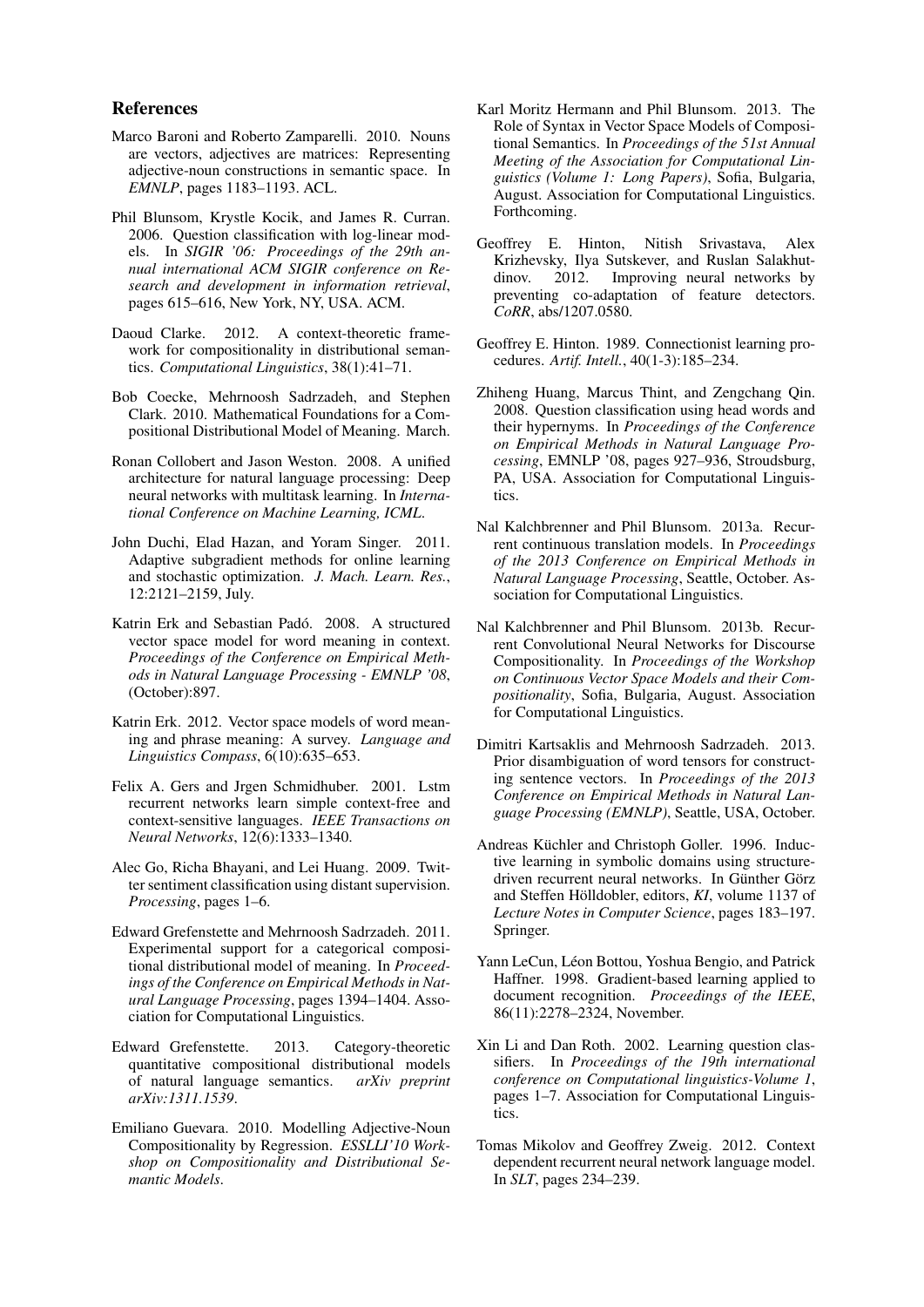#### References

- Marco Baroni and Roberto Zamparelli. 2010. Nouns are vectors, adjectives are matrices: Representing adjective-noun constructions in semantic space. In *EMNLP*, pages 1183–1193. ACL.
- Phil Blunsom, Krystle Kocik, and James R. Curran. 2006. Question classification with log-linear models. In *SIGIR '06: Proceedings of the 29th annual international ACM SIGIR conference on Research and development in information retrieval*, pages 615–616, New York, NY, USA. ACM.
- Daoud Clarke. 2012. A context-theoretic framework for compositionality in distributional semantics. *Computational Linguistics*, 38(1):41–71.
- Bob Coecke, Mehrnoosh Sadrzadeh, and Stephen Clark. 2010. Mathematical Foundations for a Compositional Distributional Model of Meaning. March.
- Ronan Collobert and Jason Weston. 2008. A unified architecture for natural language processing: Deep neural networks with multitask learning. In *International Conference on Machine Learning, ICML*.
- John Duchi, Elad Hazan, and Yoram Singer. 2011. Adaptive subgradient methods for online learning and stochastic optimization. *J. Mach. Learn. Res.*, 12:2121–2159, July.
- Katrin Erk and Sebastian Padó. 2008. A structured vector space model for word meaning in context. *Proceedings of the Conference on Empirical Methods in Natural Language Processing - EMNLP '08*, (October):897.
- Katrin Erk. 2012. Vector space models of word meaning and phrase meaning: A survey. *Language and Linguistics Compass*, 6(10):635–653.
- Felix A. Gers and Jrgen Schmidhuber. 2001. Lstm recurrent networks learn simple context-free and context-sensitive languages. *IEEE Transactions on Neural Networks*, 12(6):1333–1340.
- Alec Go, Richa Bhayani, and Lei Huang. 2009. Twitter sentiment classification using distant supervision. *Processing*, pages 1–6.
- Edward Grefenstette and Mehrnoosh Sadrzadeh. 2011. Experimental support for a categorical compositional distributional model of meaning. In *Proceedings of the Conference on Empirical Methods in Natural Language Processing*, pages 1394–1404. Association for Computational Linguistics.
- Edward Grefenstette. 2013. Category-theoretic quantitative compositional distributional models of natural language semantics. *arXiv preprint arXiv:1311.1539*.
- Emiliano Guevara. 2010. Modelling Adjective-Noun Compositionality by Regression. *ESSLLI'10 Workshop on Compositionality and Distributional Semantic Models*.
- Karl Moritz Hermann and Phil Blunsom. 2013. The Role of Syntax in Vector Space Models of Compositional Semantics. In *Proceedings of the 51st Annual Meeting of the Association for Computational Linguistics (Volume 1: Long Papers)*, Sofia, Bulgaria, August. Association for Computational Linguistics. Forthcoming.
- Geoffrey E. Hinton, Nitish Srivastava, Alex Krizhevsky, Ilya Sutskever, and Ruslan Salakhutdinov. 2012. Improving neural networks by preventing co-adaptation of feature detectors. *CoRR*, abs/1207.0580.
- Geoffrey E. Hinton. 1989. Connectionist learning procedures. *Artif. Intell.*, 40(1-3):185–234.
- Zhiheng Huang, Marcus Thint, and Zengchang Qin. 2008. Question classification using head words and their hypernyms. In *Proceedings of the Conference on Empirical Methods in Natural Language Processing*, EMNLP '08, pages 927–936, Stroudsburg, PA, USA. Association for Computational Linguistics.
- Nal Kalchbrenner and Phil Blunsom. 2013a. Recurrent continuous translation models. In *Proceedings of the 2013 Conference on Empirical Methods in Natural Language Processing*, Seattle, October. Association for Computational Linguistics.
- Nal Kalchbrenner and Phil Blunsom. 2013b. Recurrent Convolutional Neural Networks for Discourse Compositionality. In *Proceedings of the Workshop on Continuous Vector Space Models and their Compositionality*, Sofia, Bulgaria, August. Association for Computational Linguistics.
- Dimitri Kartsaklis and Mehrnoosh Sadrzadeh. 2013. Prior disambiguation of word tensors for constructing sentence vectors. In *Proceedings of the 2013 Conference on Empirical Methods in Natural Language Processing (EMNLP)*, Seattle, USA, October.
- Andreas Küchler and Christoph Goller. 1996. Inductive learning in symbolic domains using structuredriven recurrent neural networks. In Günther Görz and Steffen Hölldobler, editors, *KI*, volume 1137 of *Lecture Notes in Computer Science*, pages 183–197. Springer.
- Yann LeCun, Léon Bottou, Yoshua Bengio, and Patrick Haffner. 1998. Gradient-based learning applied to document recognition. *Proceedings of the IEEE*, 86(11):2278–2324, November.
- Xin Li and Dan Roth. 2002. Learning question classifiers. In *Proceedings of the 19th international conference on Computational linguistics-Volume 1*, pages 1–7. Association for Computational Linguistics.
- Tomas Mikolov and Geoffrey Zweig. 2012. Context dependent recurrent neural network language model. In *SLT*, pages 234–239.